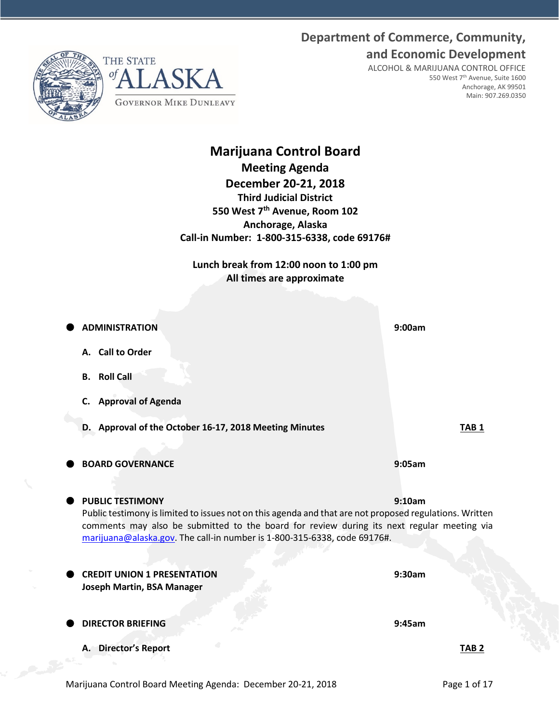# **Department of Commerce, Community, and Economic Development**





ALCOHOL & MARIJUANA CONTROL OFFICE 550 West 7th Avenue, Suite 1600 Anchorage, AK 99501 Main: 907.269.0350

# **Marijuana Control Board Meeting Agenda December 20-21, 2018 Third Judicial District 550 West 7th Avenue, Room 102 Anchorage, Alaska Call-in Number: 1-800-315-6338, code 69176#**

**Lunch break from 12:00 noon to 1:00 pm All times are approximate**

| <b>ADMINISTRATION</b>                                                                                                                                                                                                                                                                                        | 9:00am           |
|--------------------------------------------------------------------------------------------------------------------------------------------------------------------------------------------------------------------------------------------------------------------------------------------------------------|------------------|
| A. Call to Order                                                                                                                                                                                                                                                                                             |                  |
| <b>B.</b> Roll Call                                                                                                                                                                                                                                                                                          |                  |
| <b>Approval of Agenda</b><br>C.                                                                                                                                                                                                                                                                              |                  |
| D. Approval of the October 16-17, 2018 Meeting Minutes                                                                                                                                                                                                                                                       | TAB <sub>1</sub> |
| <b>BOARD GOVERNANCE</b>                                                                                                                                                                                                                                                                                      | 9:05am           |
| <b>PUBLIC TESTIMONY</b><br>Public testimony is limited to issues not on this agenda and that are not proposed regulations. Written<br>comments may also be submitted to the board for review during its next regular meeting via<br>marijuana@alaska.gov. The call-in number is 1-800-315-6338, code 69176#. | 9:10am           |
| <b>CREDIT UNION 1 PRESENTATION</b>                                                                                                                                                                                                                                                                           | 9:30am           |
| <b>Joseph Martin, BSA Manager</b><br><b>DIRECTOR BRIEFING</b>                                                                                                                                                                                                                                                | 9:45am           |
| A. Director's Report                                                                                                                                                                                                                                                                                         | TAB <sub>2</sub> |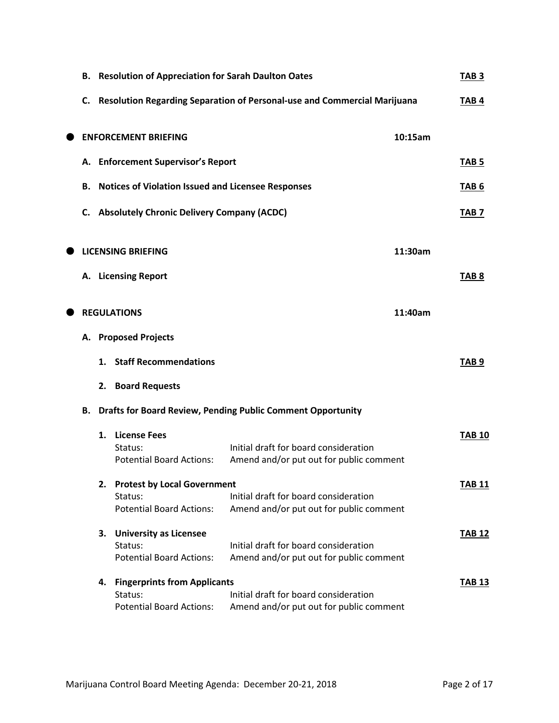| В. |    | <b>Resolution of Appreciation for Sarah Daulton Oates</b>                         |                                                                                  |         | TAB <sub>3</sub> |
|----|----|-----------------------------------------------------------------------------------|----------------------------------------------------------------------------------|---------|------------------|
|    |    |                                                                                   | C. Resolution Regarding Separation of Personal-use and Commercial Marijuana      |         | TAB <sub>4</sub> |
|    |    | <b>ENFORCEMENT BRIEFING</b>                                                       |                                                                                  | 10:15am |                  |
|    |    | A. Enforcement Supervisor's Report                                                |                                                                                  |         | TAB <sub>5</sub> |
| В. |    | <b>Notices of Violation Issued and Licensee Responses</b>                         |                                                                                  |         | TAB <sub>6</sub> |
| C. |    | <b>Absolutely Chronic Delivery Company (ACDC)</b>                                 |                                                                                  |         | TAB <sub>7</sub> |
|    |    | <b>LICENSING BRIEFING</b>                                                         |                                                                                  | 11:30am |                  |
|    |    | A. Licensing Report                                                               |                                                                                  |         | TAB <sub>8</sub> |
|    |    | <b>REGULATIONS</b>                                                                |                                                                                  | 11:40am |                  |
|    |    | A. Proposed Projects                                                              |                                                                                  |         |                  |
|    |    | 1. Staff Recommendations                                                          |                                                                                  |         | TAB <sub>9</sub> |
|    |    | 2. Board Requests                                                                 |                                                                                  |         |                  |
| В. |    |                                                                                   | <b>Drafts for Board Review, Pending Public Comment Opportunity</b>               |         |                  |
|    |    | 1. License Fees<br>Status:<br><b>Potential Board Actions:</b>                     | Initial draft for board consideration<br>Amend and/or put out for public comment |         | <b>TAB 10</b>    |
|    | 2. | <b>Protest by Local Government</b><br>Status:                                     | Initial draft for board consideration                                            |         | <b>TAB 11</b>    |
|    |    | <b>Potential Board Actions:</b>                                                   | Amend and/or put out for public comment                                          |         |                  |
|    | З. | <b>University as Licensee</b><br>Status:<br><b>Potential Board Actions:</b>       | Initial draft for board consideration<br>Amend and/or put out for public comment |         | <b>TAB 12</b>    |
|    | 4. | <b>Fingerprints from Applicants</b><br>Status:<br><b>Potential Board Actions:</b> | Initial draft for board consideration<br>Amend and/or put out for public comment |         | TAB 13           |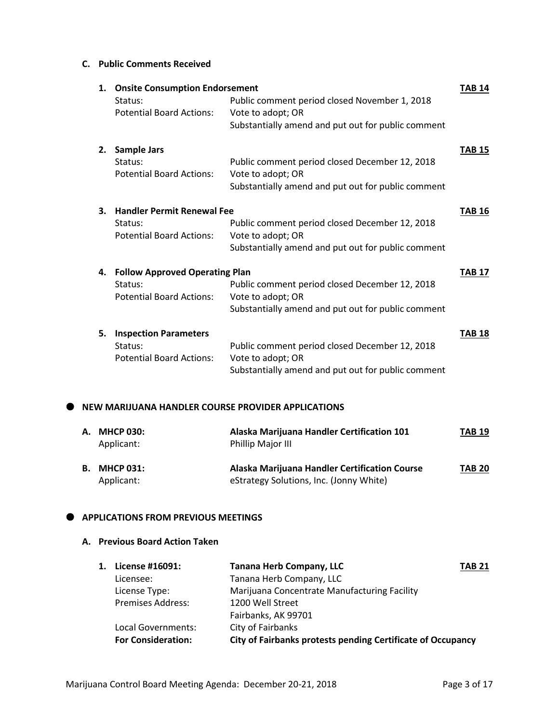#### **C. Public Comments Received**

| 1. | <b>Onsite Consumption Endorsement</b> |                                                    | <b>TAB 14</b> |
|----|---------------------------------------|----------------------------------------------------|---------------|
|    | Status:                               | Public comment period closed November 1, 2018      |               |
|    | <b>Potential Board Actions:</b>       | Vote to adopt; OR                                  |               |
|    |                                       | Substantially amend and put out for public comment |               |
| 2. | <b>Sample Jars</b>                    |                                                    | <b>TAB 15</b> |
|    | Status:                               | Public comment period closed December 12, 2018     |               |
|    | <b>Potential Board Actions:</b>       | Vote to adopt; OR                                  |               |
|    |                                       | Substantially amend and put out for public comment |               |
| 3. | <b>Handler Permit Renewal Fee</b>     |                                                    | <b>TAB 16</b> |
|    | Status:                               | Public comment period closed December 12, 2018     |               |
|    | <b>Potential Board Actions:</b>       | Vote to adopt; OR                                  |               |
|    |                                       | Substantially amend and put out for public comment |               |
| 4. | <b>Follow Approved Operating Plan</b> |                                                    | <b>TAB 17</b> |
|    | Status:                               | Public comment period closed December 12, 2018     |               |
|    | <b>Potential Board Actions:</b>       | Vote to adopt; OR                                  |               |
|    |                                       | Substantially amend and put out for public comment |               |
| 5. | <b>Inspection Parameters</b>          |                                                    | <b>TAB 18</b> |
|    | Status:                               | Public comment period closed December 12, 2018     |               |
|    | <b>Potential Board Actions:</b>       | Vote to adopt; OR                                  |               |
|    |                                       | Substantially amend and put out for public comment |               |
|    |                                       |                                                    |               |

#### **NEW MARIJUANA HANDLER COURSE PROVIDER APPLICATIONS**

| A. MHCP 030:<br>Applicant:        | Alaska Marijuana Handler Certification 101<br><b>Phillip Major III</b>                   | <b>TAB 19</b> |
|-----------------------------------|------------------------------------------------------------------------------------------|---------------|
| <b>B. MHCP 031:</b><br>Applicant: | Alaska Marijuana Handler Certification Course<br>eStrategy Solutions, Inc. (Jonny White) | <b>TAB 20</b> |

#### $\bullet$  APPLICATIONS FROM PREVIOUS MEETINGS

# **A. Previous Board Action Taken**

| 1. | License #16091:           | <b>Tanana Herb Company, LLC</b><br><b>TAB 21</b>            |  |
|----|---------------------------|-------------------------------------------------------------|--|
|    | Licensee:                 | Tanana Herb Company, LLC                                    |  |
|    | License Type:             | Marijuana Concentrate Manufacturing Facility                |  |
|    | <b>Premises Address:</b>  | 1200 Well Street                                            |  |
|    |                           | Fairbanks, AK 99701                                         |  |
|    | Local Governments:        | City of Fairbanks                                           |  |
|    | <b>For Consideration:</b> | City of Fairbanks protests pending Certificate of Occupancy |  |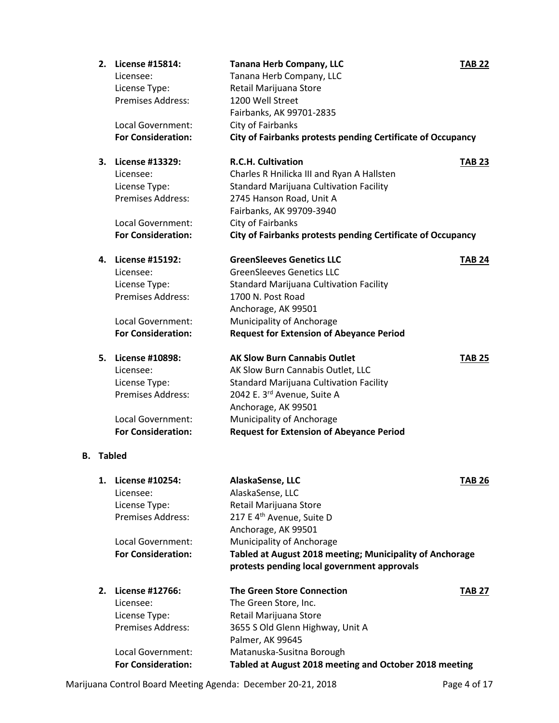|    | 2.     | License #15814:<br>Licensee:<br>License Type:<br>Premises Address: | <b>Tanana Herb Company, LLC</b><br>Tanana Herb Company, LLC<br>Retail Marijuana Store<br>1200 Well Street<br>Fairbanks, AK 99701-2835 | <b>TAB 22</b> |
|----|--------|--------------------------------------------------------------------|---------------------------------------------------------------------------------------------------------------------------------------|---------------|
|    |        | Local Government:                                                  | City of Fairbanks                                                                                                                     |               |
|    |        | <b>For Consideration:</b>                                          | City of Fairbanks protests pending Certificate of Occupancy                                                                           |               |
|    | 3.     | License #13329:                                                    | <b>R.C.H. Cultivation</b>                                                                                                             | <b>TAB 23</b> |
|    |        | Licensee:                                                          | Charles R Hnilicka III and Ryan A Hallsten                                                                                            |               |
|    |        | License Type:                                                      | Standard Marijuana Cultivation Facility                                                                                               |               |
|    |        | Premises Address:                                                  | 2745 Hanson Road, Unit A                                                                                                              |               |
|    |        |                                                                    | Fairbanks, AK 99709-3940                                                                                                              |               |
|    |        | Local Government:                                                  | City of Fairbanks                                                                                                                     |               |
|    |        | <b>For Consideration:</b>                                          | City of Fairbanks protests pending Certificate of Occupancy                                                                           |               |
|    | 4.     | License #15192:                                                    | <b>GreenSleeves Genetics LLC</b>                                                                                                      | <b>TAB 24</b> |
|    |        | Licensee:                                                          | <b>GreenSleeves Genetics LLC</b>                                                                                                      |               |
|    |        | License Type:                                                      | <b>Standard Marijuana Cultivation Facility</b>                                                                                        |               |
|    |        | <b>Premises Address:</b>                                           | 1700 N. Post Road                                                                                                                     |               |
|    |        |                                                                    | Anchorage, AK 99501                                                                                                                   |               |
|    |        | Local Government:                                                  | Municipality of Anchorage                                                                                                             |               |
|    |        | <b>For Consideration:</b>                                          | <b>Request for Extension of Abeyance Period</b>                                                                                       |               |
|    | 5.     | License #10898:                                                    | <b>AK Slow Burn Cannabis Outlet</b>                                                                                                   | <b>TAB 25</b> |
|    |        | Licensee:                                                          | AK Slow Burn Cannabis Outlet, LLC                                                                                                     |               |
|    |        | License Type:                                                      | Standard Marijuana Cultivation Facility                                                                                               |               |
|    |        | <b>Premises Address:</b>                                           | 2042 E. 3rd Avenue, Suite A                                                                                                           |               |
|    |        |                                                                    | Anchorage, AK 99501                                                                                                                   |               |
|    |        | Local Government:                                                  | Municipality of Anchorage                                                                                                             |               |
|    |        | <b>For Consideration:</b>                                          | <b>Request for Extension of Abeyance Period</b>                                                                                       |               |
| В. | Tabled |                                                                    |                                                                                                                                       |               |
|    | 1.     | License #10254:                                                    | AlaskaSense, LLC                                                                                                                      | <b>TAB 26</b> |
|    |        | Licensee:                                                          | AlaskaSense, LLC                                                                                                                      |               |
|    |        | License Type:                                                      | Retail Marijuana Store                                                                                                                |               |
|    |        | <b>Premises Address:</b>                                           | 217 E 4 <sup>th</sup> Avenue, Suite D                                                                                                 |               |
|    |        |                                                                    | Anchorage, AK 99501                                                                                                                   |               |
|    |        | <b>Local Government:</b>                                           | Municipality of Anchorage                                                                                                             |               |
|    |        | <b>For Consideration:</b>                                          | Tabled at August 2018 meeting; Municipality of Anchorage                                                                              |               |
|    |        |                                                                    | protests pending local government approvals                                                                                           |               |
|    | 2.     | License #12766:                                                    | <b>The Green Store Connection</b>                                                                                                     | <b>TAB 27</b> |
|    |        | Licensee:                                                          | The Green Store, Inc.                                                                                                                 |               |
|    |        | License Type:                                                      | Retail Marijuana Store                                                                                                                |               |
|    |        | <b>Premises Address:</b>                                           | 3655 S Old Glenn Highway, Unit A                                                                                                      |               |
|    |        |                                                                    | Palmer, AK 99645                                                                                                                      |               |
|    |        | Local Government:                                                  | Matanuska-Susitna Borough                                                                                                             |               |
|    |        | <b>For Consideration:</b>                                          | Tabled at August 2018 meeting and October 2018 meeting                                                                                |               |
|    |        |                                                                    |                                                                                                                                       |               |

Marijuana Control Board Meeting Agenda: December 20-21, 2018 Page 4 of 17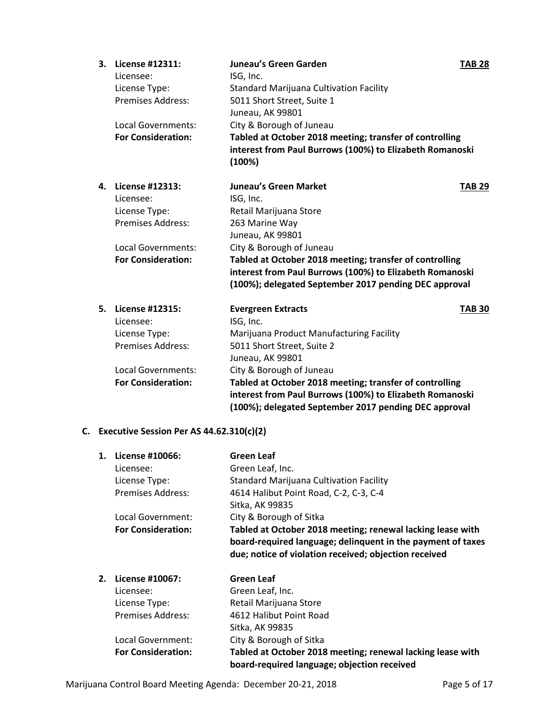| 3. | License #12311:           | <b>Juneau's Green Garden</b>                             | <b>TAB 28</b> |
|----|---------------------------|----------------------------------------------------------|---------------|
|    | Licensee:                 | ISG, Inc.                                                |               |
|    | License Type:             | <b>Standard Marijuana Cultivation Facility</b>           |               |
|    | <b>Premises Address:</b>  | 5011 Short Street, Suite 1                               |               |
|    |                           | Juneau, AK 99801                                         |               |
|    | Local Governments:        | City & Borough of Juneau                                 |               |
|    | <b>For Consideration:</b> | Tabled at October 2018 meeting; transfer of controlling  |               |
|    |                           | interest from Paul Burrows (100%) to Elizabeth Romanoski |               |
|    |                           | (100%)                                                   |               |
| 4. | License #12313:           | <b>Juneau's Green Market</b>                             | <b>TAB 29</b> |
|    | Licensee:                 | ISG, Inc.                                                |               |
|    | License Type:             | Retail Marijuana Store                                   |               |
|    | <b>Premises Address:</b>  | 263 Marine Way                                           |               |
|    |                           | Juneau, AK 99801                                         |               |
|    | Local Governments:        | City & Borough of Juneau                                 |               |
|    | <b>For Consideration:</b> | Tabled at October 2018 meeting; transfer of controlling  |               |
|    |                           | interest from Paul Burrows (100%) to Elizabeth Romanoski |               |
|    |                           | (100%); delegated September 2017 pending DEC approval    |               |
| 5. | License #12315:           | <b>Evergreen Extracts</b>                                | <b>TAB 30</b> |
|    | Licensee:                 | ISG, Inc.                                                |               |
|    | License Type:             | Marijuana Product Manufacturing Facility                 |               |
|    | <b>Premises Address:</b>  | 5011 Short Street, Suite 2                               |               |
|    |                           | Juneau, AK 99801                                         |               |
|    | Local Governments:        | City & Borough of Juneau                                 |               |
|    | <b>For Consideration:</b> | Tabled at October 2018 meeting; transfer of controlling  |               |
|    |                           | interest from Paul Burrows (100%) to Elizabeth Romanoski |               |
|    |                           | (100%); delegated September 2017 pending DEC approval    |               |

# **C. Executive Session Per AS 44.62.310(c)(2)**

| 1. | License #10066:           | Green Leaf                                                                                                                                                                         |
|----|---------------------------|------------------------------------------------------------------------------------------------------------------------------------------------------------------------------------|
|    | Licensee:                 | Green Leaf, Inc.                                                                                                                                                                   |
|    | License Type:             | <b>Standard Marijuana Cultivation Facility</b>                                                                                                                                     |
|    | <b>Premises Address:</b>  | 4614 Halibut Point Road, C-2, C-3, C-4                                                                                                                                             |
|    |                           | Sitka, AK 99835                                                                                                                                                                    |
|    | Local Government:         | City & Borough of Sitka                                                                                                                                                            |
|    | <b>For Consideration:</b> | Tabled at October 2018 meeting; renewal lacking lease with<br>board-required language; delinquent in the payment of taxes<br>due; notice of violation received; objection received |
| 2. | License #10067:           | <b>Green Leaf</b>                                                                                                                                                                  |
|    | Licensee:                 | Green Leaf, Inc.                                                                                                                                                                   |
|    | License Type:             | Retail Marijuana Store                                                                                                                                                             |
|    | <b>Premises Address:</b>  | 4612 Halibut Point Road                                                                                                                                                            |
|    |                           | Sitka, AK 99835                                                                                                                                                                    |
|    | Local Government:         | City & Borough of Sitka                                                                                                                                                            |
|    | <b>For Consideration:</b> | Tabled at October 2018 meeting; renewal lacking lease with<br>board-required language; objection received                                                                          |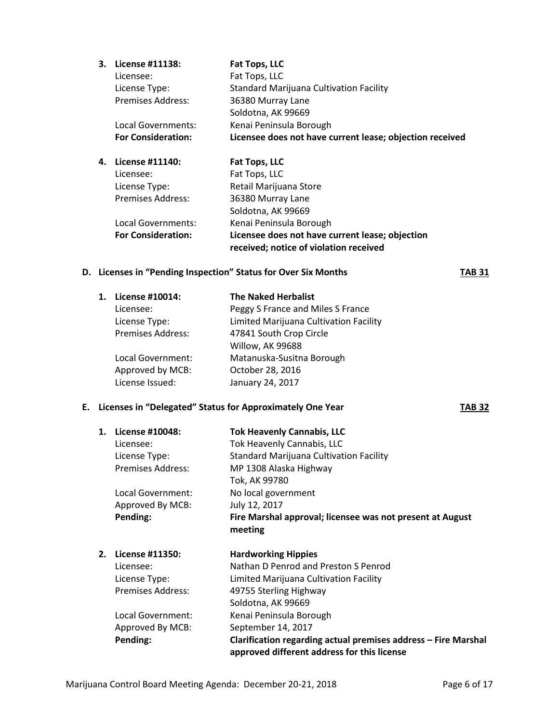| 3. | License #11138:           | Fat Tops, LLC                                            |
|----|---------------------------|----------------------------------------------------------|
|    | Licensee:                 | Fat Tops, LLC                                            |
|    | License Type:             | <b>Standard Marijuana Cultivation Facility</b>           |
|    | <b>Premises Address:</b>  | 36380 Murray Lane                                        |
|    |                           | Soldotna, AK 99669                                       |
|    | Local Governments:        | Kenai Peninsula Borough                                  |
|    | <b>For Consideration:</b> | Licensee does not have current lease; objection received |
|    |                           |                                                          |

| 4. | License #11140:           | Fat Tops, LLC                                   |
|----|---------------------------|-------------------------------------------------|
|    | Licensee:                 | Fat Tops, LLC                                   |
|    | License Type:             | Retail Marijuana Store                          |
|    | <b>Premises Address:</b>  | 36380 Murray Lane                               |
|    |                           | Soldotna, AK 99669                              |
|    | Local Governments:        | Kenai Peninsula Borough                         |
|    | <b>For Consideration:</b> | Licensee does not have current lease; objection |
|    |                           | received; notice of violation received          |

#### **D. Licenses in "Pending Inspection" Status for Over Six Months TAB 31**

| License #10014:          | <b>The Naked Herbalist</b>             |
|--------------------------|----------------------------------------|
| Licensee:                | Peggy S France and Miles S France      |
| License Type:            | Limited Marijuana Cultivation Facility |
| <b>Premises Address:</b> | 47841 South Crop Circle                |
|                          | Willow, AK 99688                       |
| Local Government:        | Matanuska-Susitna Borough              |
| Approved by MCB:         | October 28, 2016                       |
| License Issued:          | January 24, 2017                       |
|                          |                                        |

#### **E. Licenses in "Delegated" Status for Approximately One Year TAB 32**

**1. License #10048: Tok Heavenly Cannabis, LLC** Licensee: Tok Heavenly Cannabis, LLC License Type: Standard Marijuana Cultivation Facility Premises Address: MP 1308 Alaska Highway Tok, AK 99780 Local Government: No local government Approved By MCB: July 12, 2017 **Pending: Fire Marshal approval; licensee was not present at August meeting 2. License #11350: Hardworking Hippies** Licensee: Nathan D Penrod and Preston S Penrod License Type: Limited Marijuana Cultivation Facility Premises Address: 49755 Sterling Highway Soldotna, AK 99669 Local Government: Kenai Peninsula Borough Approved By MCB: September 14, 2017

**Pending: Clarification regarding actual premises address – Fire Marshal approved different address for this license**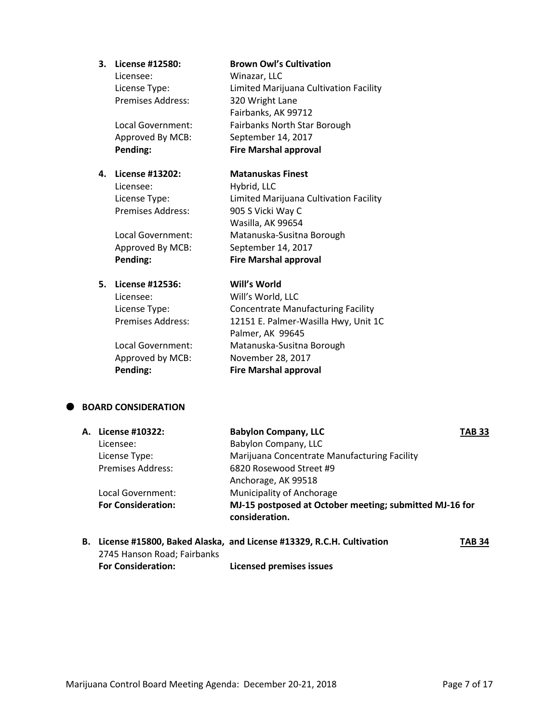Licensee: Winazar, LLC Premises Address: 320 Wright Lane

# **4. License #13202: Matanuskas Finest**

Licensee: Hybrid, LLC

**5. License #12536: Will's World**

#### **3. License #12580: Brown Owl's Cultivation**

License Type: Limited Marijuana Cultivation Facility Fairbanks, AK 99712 Local Government: Fairbanks North Star Borough Approved By MCB: September 14, 2017 **Pending: Fire Marshal approval**

License Type: Limited Marijuana Cultivation Facility Premises Address: 905 S Vicki Way C Wasilla, AK 99654 Local Government: Matanuska-Susitna Borough Approved By MCB: September 14, 2017 **Pending: Fire Marshal approval**

Licensee: Will's World, LLC License Type: Concentrate Manufacturing Facility Premises Address: 12151 E. Palmer-Wasilla Hwy, Unit 1C Palmer, AK 99645 Local Government: Matanuska-Susitna Borough Approved by MCB: November 28, 2017 **Pending: Fire Marshal approval**

# **BOARD CONSIDERATION**

| A. License #10322:        | <b>Babylon Company, LLC</b>                                               | <b>TAB 33</b> |
|---------------------------|---------------------------------------------------------------------------|---------------|
| Licensee:                 | Babylon Company, LLC                                                      |               |
| License Type:             | Marijuana Concentrate Manufacturing Facility                              |               |
| <b>Premises Address:</b>  | 6820 Rosewood Street #9                                                   |               |
|                           | Anchorage, AK 99518                                                       |               |
| Local Government:         | Municipality of Anchorage                                                 |               |
| <b>For Consideration:</b> | MJ-15 postposed at October meeting; submitted MJ-16 for<br>consideration. |               |
|                           |                                                                           |               |

### **B.** License #15800, Baked Alaska, and License #13329, R.C.H. Cultivation TAB 34 2745 Hanson Road; Fairbanks **For Consideration: Licensed premises issues**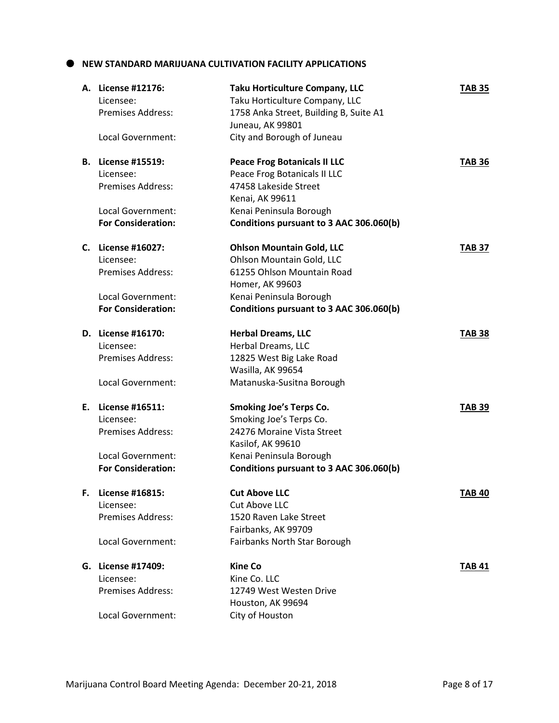#### **NEW STANDARD MARIJUANA CULTIVATION FACILITY APPLICATIONS**

|    | A. License #12176:<br>Licensee:<br><b>Premises Address:</b> | <b>Taku Horticulture Company, LLC</b><br>Taku Horticulture Company, LLC<br>1758 Anka Street, Building B, Suite A1<br>Juneau, AK 99801 | <b>TAB 35</b> |
|----|-------------------------------------------------------------|---------------------------------------------------------------------------------------------------------------------------------------|---------------|
|    | Local Government:                                           | City and Borough of Juneau                                                                                                            |               |
|    | <b>B.</b> License #15519:                                   | <b>Peace Frog Botanicals II LLC</b>                                                                                                   | <b>TAB 36</b> |
|    | Licensee:                                                   | Peace Frog Botanicals II LLC                                                                                                          |               |
|    | <b>Premises Address:</b>                                    | 47458 Lakeside Street                                                                                                                 |               |
|    |                                                             | Kenai, AK 99611                                                                                                                       |               |
|    | Local Government:<br><b>For Consideration:</b>              | Kenai Peninsula Borough<br>Conditions pursuant to 3 AAC 306.060(b)                                                                    |               |
|    |                                                             |                                                                                                                                       |               |
|    | C. License #16027:                                          | <b>Ohlson Mountain Gold, LLC</b>                                                                                                      | <b>TAB 37</b> |
|    | Licensee:                                                   | Ohlson Mountain Gold, LLC                                                                                                             |               |
|    | <b>Premises Address:</b>                                    | 61255 Ohlson Mountain Road                                                                                                            |               |
|    |                                                             | Homer, AK 99603                                                                                                                       |               |
|    | Local Government:                                           | Kenai Peninsula Borough                                                                                                               |               |
|    | <b>For Consideration:</b>                                   | Conditions pursuant to 3 AAC 306.060(b)                                                                                               |               |
|    | D. License #16170:                                          | <b>Herbal Dreams, LLC</b>                                                                                                             | <b>TAB 38</b> |
|    | Licensee:                                                   | Herbal Dreams, LLC                                                                                                                    |               |
|    | <b>Premises Address:</b>                                    | 12825 West Big Lake Road                                                                                                              |               |
|    |                                                             | Wasilla, AK 99654                                                                                                                     |               |
|    | Local Government:                                           | Matanuska-Susitna Borough                                                                                                             |               |
|    | E. License #16511:                                          | <b>Smoking Joe's Terps Co.</b>                                                                                                        | <b>TAB 39</b> |
|    | Licensee:                                                   | Smoking Joe's Terps Co.                                                                                                               |               |
|    | <b>Premises Address:</b>                                    | 24276 Moraine Vista Street                                                                                                            |               |
|    |                                                             | Kasilof, AK 99610                                                                                                                     |               |
|    | Local Government:                                           | Kenai Peninsula Borough                                                                                                               |               |
|    | <b>For Consideration:</b>                                   | Conditions pursuant to 3 AAC 306.060(b)                                                                                               |               |
| F. | License #16815:                                             | <b>Cut Above LLC</b>                                                                                                                  | <b>TAB 40</b> |
|    | Licensee:                                                   | <b>Cut Above LLC</b>                                                                                                                  |               |
|    | <b>Premises Address:</b>                                    | 1520 Raven Lake Street                                                                                                                |               |
|    |                                                             | Fairbanks, AK 99709                                                                                                                   |               |
|    | Local Government:                                           | Fairbanks North Star Borough                                                                                                          |               |
|    | G. License #17409:                                          | <b>Kine Co</b>                                                                                                                        | <b>TAB 41</b> |
|    | Licensee:                                                   | Kine Co. LLC                                                                                                                          |               |
|    | <b>Premises Address:</b>                                    | 12749 West Westen Drive                                                                                                               |               |
|    |                                                             | Houston, AK 99694                                                                                                                     |               |
|    | Local Government:                                           | City of Houston                                                                                                                       |               |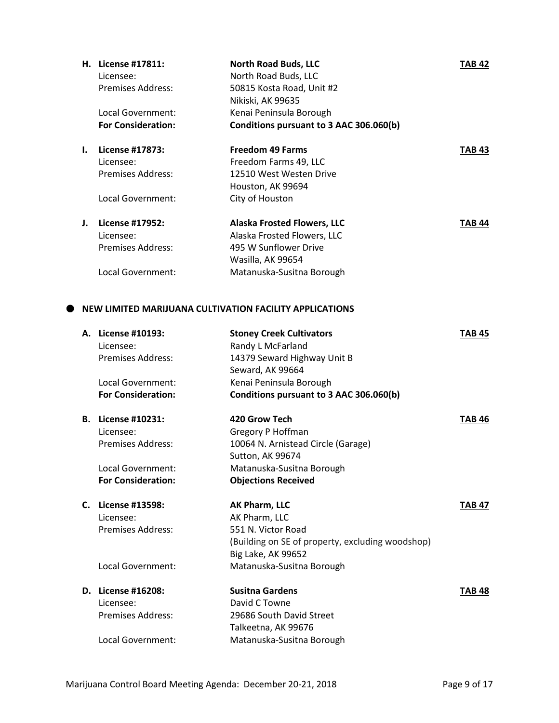|    | H. License #17811:        | <b>North Road Buds, LLC</b>             | TAB 42 |
|----|---------------------------|-----------------------------------------|--------|
|    | Licensee:                 | North Road Buds, LLC                    |        |
|    | Premises Address:         | 50815 Kosta Road, Unit #2               |        |
|    |                           | Nikiski, AK 99635                       |        |
|    | Local Government:         | Kenai Peninsula Borough                 |        |
|    | <b>For Consideration:</b> | Conditions pursuant to 3 AAC 306.060(b) |        |
| I. | License #17873:           | <b>Freedom 49 Farms</b>                 | TAB 43 |
|    | Licensee:                 | Freedom Farms 49, LLC                   |        |
|    | <b>Premises Address:</b>  | 12510 West Westen Drive                 |        |
|    |                           | Houston, AK 99694                       |        |
|    | Local Government:         | City of Houston                         |        |
| J. | License #17952:           | <b>Alaska Frosted Flowers, LLC</b>      | TAB 44 |
|    | Licensee:                 | Alaska Frosted Flowers, LLC             |        |
|    | Premises Address:         | 495 W Sunflower Drive                   |        |
|    |                           | Wasilla, AK 99654                       |        |
|    | Local Government:         | Matanuska-Susitna Borough               |        |

### **NEW LIMITED MARIJUANA CULTIVATION FACILITY APPLICATIONS**

|    | A. License #10193:        | <b>Stoney Creek Cultivators</b>                  | <b>TAB 45</b> |
|----|---------------------------|--------------------------------------------------|---------------|
|    | Licensee:                 | Randy L McFarland                                |               |
|    | Premises Address:         | 14379 Seward Highway Unit B                      |               |
|    |                           | Seward, AK 99664                                 |               |
|    | Local Government:         | Kenai Peninsula Borough                          |               |
|    | <b>For Consideration:</b> | Conditions pursuant to 3 AAC 306.060(b)          |               |
| В. | License #10231:           | 420 Grow Tech                                    | <b>TAB 46</b> |
|    | Licensee:                 | Gregory P Hoffman                                |               |
|    | <b>Premises Address:</b>  | 10064 N. Arnistead Circle (Garage)               |               |
|    |                           | Sutton, AK 99674                                 |               |
|    | Local Government:         | Matanuska-Susitna Borough                        |               |
|    | <b>For Consideration:</b> | <b>Objections Received</b>                       |               |
| С. | License #13598:           | AK Pharm, LLC                                    | <b>TAB 47</b> |
|    | Licensee:                 | AK Pharm, LLC                                    |               |
|    | <b>Premises Address:</b>  | 551 N. Victor Road                               |               |
|    |                           | (Building on SE of property, excluding woodshop) |               |
|    |                           | Big Lake, AK 99652                               |               |
|    | Local Government:         | Matanuska-Susitna Borough                        |               |
|    | D. License #16208:        | <b>Susitna Gardens</b>                           | <b>TAB 48</b> |
|    | Licensee:                 | David C Towne                                    |               |
|    | Premises Address:         | 29686 South David Street                         |               |
|    |                           | Talkeetna, AK 99676                              |               |
|    | Local Government:         | Matanuska-Susitna Borough                        |               |
|    |                           |                                                  |               |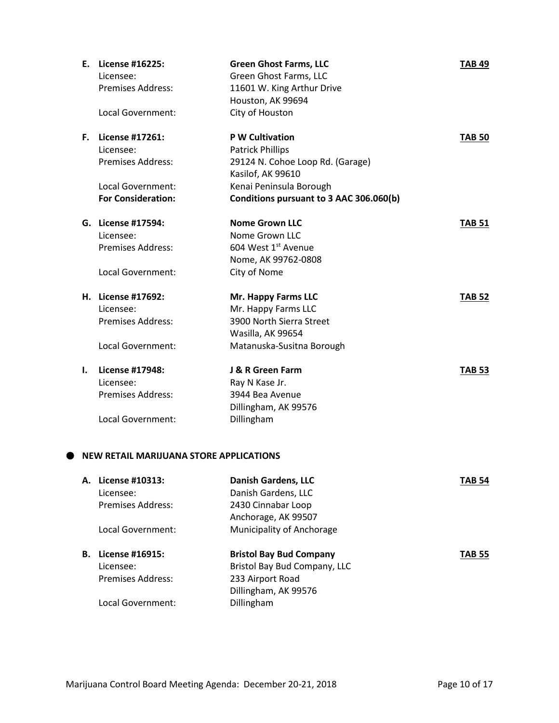| Ε. | License #16225:<br>Licensee: | <b>Green Ghost Farms, LLC</b><br>Green Ghost Farms, LLC | <b>TAB 49</b> |
|----|------------------------------|---------------------------------------------------------|---------------|
|    | <b>Premises Address:</b>     | 11601 W. King Arthur Drive                              |               |
|    |                              | Houston, AK 99694                                       |               |
|    | <b>Local Government:</b>     | City of Houston                                         |               |
|    | <b>F.</b> License #17261:    | <b>P W Cultivation</b>                                  | <b>TAB 50</b> |
|    | Licensee:                    | <b>Patrick Phillips</b>                                 |               |
|    | <b>Premises Address:</b>     | 29124 N. Cohoe Loop Rd. (Garage)                        |               |
|    |                              | Kasilof, AK 99610                                       |               |
|    | <b>Local Government:</b>     | Kenai Peninsula Borough                                 |               |
|    | <b>For Consideration:</b>    | Conditions pursuant to 3 AAC 306.060(b)                 |               |
|    | G. License #17594:           | <b>Nome Grown LLC</b>                                   | <b>TAB 51</b> |
|    | Licensee:                    | Nome Grown LLC                                          |               |
|    | <b>Premises Address:</b>     | 604 West 1st Avenue                                     |               |
|    |                              | Nome, AK 99762-0808                                     |               |
|    | Local Government:            | City of Nome                                            |               |
|    | H. License #17692:           | Mr. Happy Farms LLC                                     | <b>TAB 52</b> |
|    | Licensee:                    | Mr. Happy Farms LLC                                     |               |
|    | <b>Premises Address:</b>     | 3900 North Sierra Street                                |               |
|    |                              | Wasilla, AK 99654                                       |               |
|    | Local Government:            | Matanuska-Susitna Borough                               |               |
| I. | License #17948:              | J & R Green Farm                                        | <b>TAB 53</b> |
|    | Licensee:                    | Ray N Kase Jr.                                          |               |
|    | <b>Premises Address:</b>     | 3944 Bea Avenue                                         |               |
|    |                              | Dillingham, AK 99576                                    |               |
|    | Local Government:            | Dillingham                                              |               |
|    |                              |                                                         |               |

#### **NEW RETAIL MARIJUANA STORE APPLICATIONS**

| А. | License #10313:   | <b>Danish Gardens, LLC</b>     | TAB 54        |
|----|-------------------|--------------------------------|---------------|
|    | Licensee:         | Danish Gardens, LLC            |               |
|    | Premises Address: | 2430 Cinnabar Loop             |               |
|    |                   | Anchorage, AK 99507            |               |
|    | Local Government: | Municipality of Anchorage      |               |
|    |                   |                                |               |
| В. | License #16915:   | <b>Bristol Bay Bud Company</b> | <b>TAB 55</b> |
|    | Licensee:         | Bristol Bay Bud Company, LLC   |               |
|    | Premises Address: | 233 Airport Road               |               |
|    |                   | Dillingham, AK 99576           |               |
|    | Local Government: | Dillingham                     |               |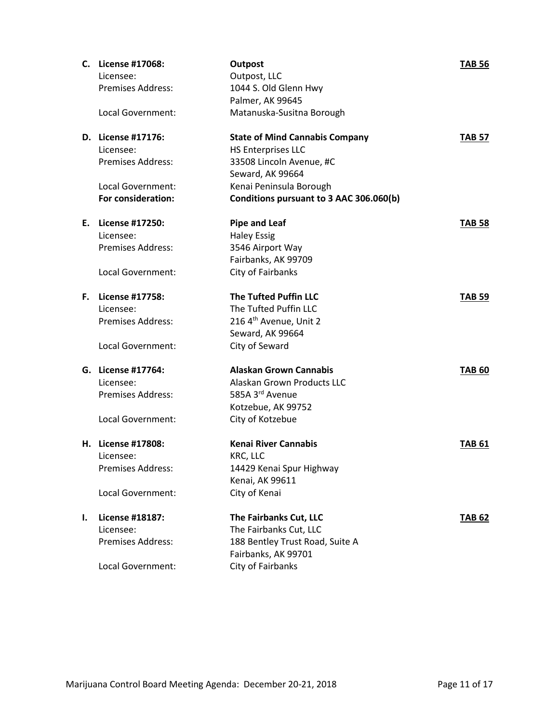|    | C. License #17068:       | <b>Outpost</b>                          | <b>TAB 56</b> |
|----|--------------------------|-----------------------------------------|---------------|
|    | Licensee:                | Outpost, LLC                            |               |
|    | Premises Address:        | 1044 S. Old Glenn Hwy                   |               |
|    |                          | Palmer, AK 99645                        |               |
|    | Local Government:        | Matanuska-Susitna Borough               |               |
|    | D. License #17176:       | <b>State of Mind Cannabis Company</b>   | <b>TAB 57</b> |
|    | Licensee:                | <b>HS Enterprises LLC</b>               |               |
|    | <b>Premises Address:</b> | 33508 Lincoln Avenue, #C                |               |
|    |                          | Seward, AK 99664                        |               |
|    | Local Government:        | Kenai Peninsula Borough                 |               |
|    | For consideration:       | Conditions pursuant to 3 AAC 306.060(b) |               |
|    | E. License #17250:       | <b>Pipe and Leaf</b>                    | <b>TAB 58</b> |
|    | Licensee:                | <b>Haley Essig</b>                      |               |
|    | <b>Premises Address:</b> | 3546 Airport Way                        |               |
|    |                          | Fairbanks, AK 99709                     |               |
|    | Local Government:        | City of Fairbanks                       |               |
| F. | License #17758:          | <b>The Tufted Puffin LLC</b>            | <b>TAB 59</b> |
|    | Licensee:                | The Tufted Puffin LLC                   |               |
|    | <b>Premises Address:</b> | 216 4 <sup>th</sup> Avenue, Unit 2      |               |
|    |                          | Seward, AK 99664                        |               |
|    | Local Government:        | City of Seward                          |               |
|    | G. License #17764:       | <b>Alaskan Grown Cannabis</b>           | <b>TAB 60</b> |
|    | Licensee:                | Alaskan Grown Products LLC              |               |
|    | <b>Premises Address:</b> | 585A 3rd Avenue                         |               |
|    |                          | Kotzebue, AK 99752                      |               |
|    | Local Government:        | City of Kotzebue                        |               |
|    | H. License #17808:       | <b>Kenai River Cannabis</b>             | <b>TAB 61</b> |
|    | Licensee:                | KRC, LLC                                |               |
|    | Premises Address:        | 14429 Kenai Spur Highway                |               |
|    |                          | Kenai, AK 99611                         |               |
|    | Local Government:        | City of Kenai                           |               |
| ı. | License #18187:          | The Fairbanks Cut, LLC                  | <b>TAB 62</b> |
|    | Licensee:                | The Fairbanks Cut, LLC                  |               |
|    | <b>Premises Address:</b> | 188 Bentley Trust Road, Suite A         |               |
|    |                          | Fairbanks, AK 99701                     |               |
|    | Local Government:        | City of Fairbanks                       |               |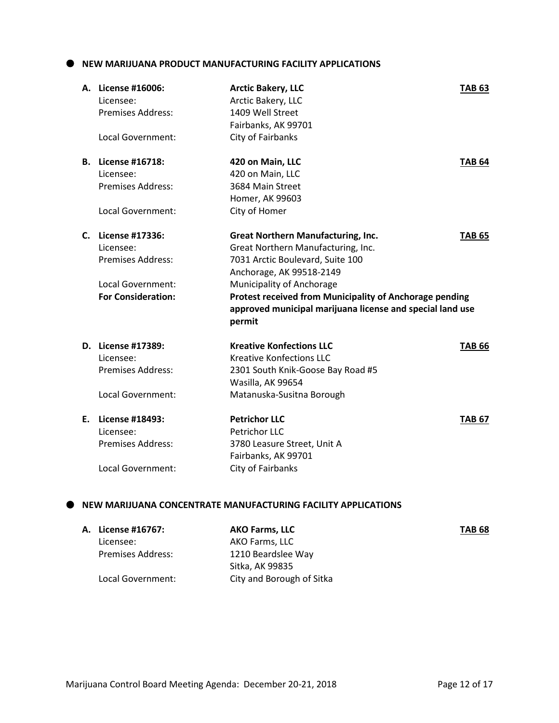**NEW MARIJUANA PRODUCT MANUFACTURING FACILITY APPLICATIONS**

|    | A. License #16006:<br>Licensee:<br><b>Premises Address:</b><br>Local Government:                           | <b>Arctic Bakery, LLC</b><br>Arctic Bakery, LLC<br>1409 Well Street<br>Fairbanks, AK 99701<br>City of Fairbanks                                                                                                                                                                                                | <b>TAB 63</b> |
|----|------------------------------------------------------------------------------------------------------------|----------------------------------------------------------------------------------------------------------------------------------------------------------------------------------------------------------------------------------------------------------------------------------------------------------------|---------------|
| В. | License #16718:<br>Licensee:<br><b>Premises Address:</b><br>Local Government:                              | 420 on Main, LLC<br>420 on Main, LLC<br>3684 Main Street<br>Homer, AK 99603<br>City of Homer                                                                                                                                                                                                                   | <b>TAB 64</b> |
| C. | License #17336:<br>Licensee:<br><b>Premises Address:</b><br>Local Government:<br><b>For Consideration:</b> | <b>Great Northern Manufacturing, Inc.</b><br>Great Northern Manufacturing, Inc.<br>7031 Arctic Boulevard, Suite 100<br>Anchorage, AK 99518-2149<br>Municipality of Anchorage<br>Protest received from Municipality of Anchorage pending<br>approved municipal marijuana license and special land use<br>permit | <b>TAB 65</b> |
|    | D. License #17389:<br>Licensee:<br><b>Premises Address:</b><br>Local Government:                           | <b>Kreative Konfections LLC</b><br><b>Kreative Konfections LLC</b><br>2301 South Knik-Goose Bay Road #5<br>Wasilla, AK 99654<br>Matanuska-Susitna Borough                                                                                                                                                      | <b>TAB 66</b> |
| Е. | License #18493:<br>Licensee:<br><b>Premises Address:</b><br><b>Local Government:</b>                       | <b>Petrichor LLC</b><br><b>Petrichor LLC</b><br>3780 Leasure Street, Unit A<br>Fairbanks, AK 99701<br>City of Fairbanks                                                                                                                                                                                        | <b>TAB 67</b> |

## **NEW MARIJUANA CONCENTRATE MANUFACTURING FACILITY APPLICATIONS**

| A. License #16767:       | <b>AKO Farms, LLC</b>     | <b>TAB 68</b> |
|--------------------------|---------------------------|---------------|
| Licensee:                | AKO Farms, LLC            |               |
| <b>Premises Address:</b> | 1210 Beardslee Way        |               |
|                          | Sitka, AK 99835           |               |
| Local Government:        | City and Borough of Sitka |               |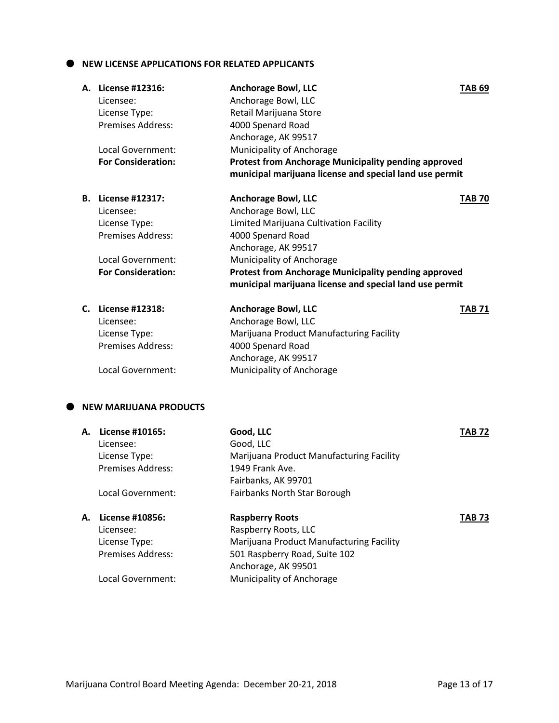#### $\bullet$  NEW LICENSE APPLICATIONS FOR RELATED APPLICANTS

|    | A. License #12316:<br>Licensee: | <b>Anchorage Bowl, LLC</b><br>Anchorage Bowl, LLC           | <b>TAB 69</b> |
|----|---------------------------------|-------------------------------------------------------------|---------------|
|    | License Type:                   | Retail Marijuana Store                                      |               |
|    | <b>Premises Address:</b>        | 4000 Spenard Road                                           |               |
|    |                                 | Anchorage, AK 99517                                         |               |
|    | Local Government:               | Municipality of Anchorage                                   |               |
|    | <b>For Consideration:</b>       | <b>Protest from Anchorage Municipality pending approved</b> |               |
|    |                                 | municipal marijuana license and special land use permit     |               |
|    | <b>B.</b> License #12317:       | <b>Anchorage Bowl, LLC</b>                                  | <b>TAB 70</b> |
|    | Licensee:                       | Anchorage Bowl, LLC                                         |               |
|    | License Type:                   | Limited Marijuana Cultivation Facility                      |               |
|    | <b>Premises Address:</b>        | 4000 Spenard Road                                           |               |
|    |                                 | Anchorage, AK 99517                                         |               |
|    | <b>Local Government:</b>        | Municipality of Anchorage                                   |               |
|    | <b>For Consideration:</b>       | <b>Protest from Anchorage Municipality pending approved</b> |               |
|    |                                 | municipal marijuana license and special land use permit     |               |
|    | C. License #12318:              | <b>Anchorage Bowl, LLC</b>                                  | <b>TAB 71</b> |
|    | Licensee:                       | Anchorage Bowl, LLC                                         |               |
|    | License Type:                   | Marijuana Product Manufacturing Facility                    |               |
|    | Premises Address:               | 4000 Spenard Road                                           |               |
|    |                                 | Anchorage, AK 99517                                         |               |
|    | Local Government:               | Municipality of Anchorage                                   |               |
|    |                                 |                                                             |               |
|    | <b>NEW MARIJUANA PRODUCTS</b>   |                                                             |               |
| А. | License #10165:                 | Good, LLC                                                   | <b>TAB 72</b> |
|    | Licensee:                       | Good, LLC                                                   |               |
|    | License Type:                   | Marijuana Product Manufacturing Facility                    |               |
|    | Premises Address:               | 1949 Frank Ave.                                             |               |
|    |                                 | Fairbanks, AK 99701                                         |               |
|    | Local Government:               | Fairbanks North Star Borough                                |               |
| А. | License #10856:                 | <b>Raspberry Roots</b>                                      | <b>TAB 73</b> |
|    | Licensee:                       | Raspberry Roots, LLC                                        |               |
|    | License Type:                   | Marijuana Product Manufacturing Facility                    |               |
|    | Premises Address:               | 501 Raspberry Road, Suite 102                               |               |
|    |                                 | Anchorage, AK 99501                                         |               |
|    | Local Government:               | Municipality of Anchorage                                   |               |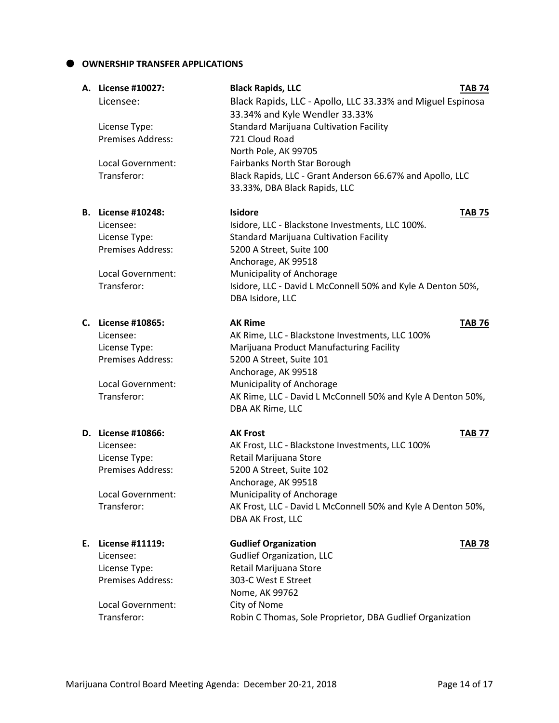#### **OWNERSHIP TRANSFER APPLICATIONS**

|    | A. License #10027:        | <b>Black Rapids, LLC</b>                                     | <b>TAB 74</b> |
|----|---------------------------|--------------------------------------------------------------|---------------|
|    | Licensee:                 | Black Rapids, LLC - Apollo, LLC 33.33% and Miguel Espinosa   |               |
|    |                           | 33.34% and Kyle Wendler 33.33%                               |               |
|    | License Type:             | <b>Standard Marijuana Cultivation Facility</b>               |               |
|    | <b>Premises Address:</b>  | 721 Cloud Road                                               |               |
|    |                           | North Pole, AK 99705                                         |               |
|    | Local Government:         | Fairbanks North Star Borough                                 |               |
|    | Transferor:               | Black Rapids, LLC - Grant Anderson 66.67% and Apollo, LLC    |               |
|    |                           | 33.33%, DBA Black Rapids, LLC                                |               |
|    | <b>B.</b> License #10248: | <b>Isidore</b>                                               | <b>TAB 75</b> |
|    | Licensee:                 | Isidore, LLC - Blackstone Investments, LLC 100%.             |               |
|    | License Type:             | <b>Standard Marijuana Cultivation Facility</b>               |               |
|    | <b>Premises Address:</b>  | 5200 A Street, Suite 100                                     |               |
|    |                           | Anchorage, AK 99518                                          |               |
|    | Local Government:         | Municipality of Anchorage                                    |               |
|    | Transferor:               | Isidore, LLC - David L McConnell 50% and Kyle A Denton 50%,  |               |
|    |                           | DBA Isidore, LLC                                             |               |
|    | C. License #10865:        | <b>AK Rime</b>                                               | <b>TAB 76</b> |
|    | Licensee:                 | AK Rime, LLC - Blackstone Investments, LLC 100%              |               |
|    | License Type:             | Marijuana Product Manufacturing Facility                     |               |
|    | <b>Premises Address:</b>  | 5200 A Street, Suite 101                                     |               |
|    |                           | Anchorage, AK 99518                                          |               |
|    | Local Government:         | Municipality of Anchorage                                    |               |
|    | Transferor:               | AK Rime, LLC - David L McConnell 50% and Kyle A Denton 50%,  |               |
|    |                           | DBA AK Rime, LLC                                             |               |
|    | D. License #10866:        | <b>AK Frost</b>                                              | <b>TAB 77</b> |
|    | Licensee:                 | AK Frost, LLC - Blackstone Investments, LLC 100%             |               |
|    | License Type:             | Retail Marijuana Store                                       |               |
|    | <b>Premises Address:</b>  | 5200 A Street, Suite 102                                     |               |
|    |                           | Anchorage, AK 99518                                          |               |
|    | Local Government:         | Municipality of Anchorage                                    |               |
|    | Transferor:               | AK Frost, LLC - David L McConnell 50% and Kyle A Denton 50%, |               |
|    |                           | DBA AK Frost, LLC                                            |               |
| Е. | License #11119:           | <b>Gudlief Organization</b>                                  | <b>TAB 78</b> |
|    | Licensee:                 | <b>Gudlief Organization, LLC</b>                             |               |
|    | License Type:             | Retail Marijuana Store                                       |               |
|    | Premises Address:         | 303-C West E Street                                          |               |
|    |                           | Nome, AK 99762                                               |               |
|    | Local Government:         | City of Nome                                                 |               |
|    | Transferor:               | Robin C Thomas, Sole Proprietor, DBA Gudlief Organization    |               |
|    |                           |                                                              |               |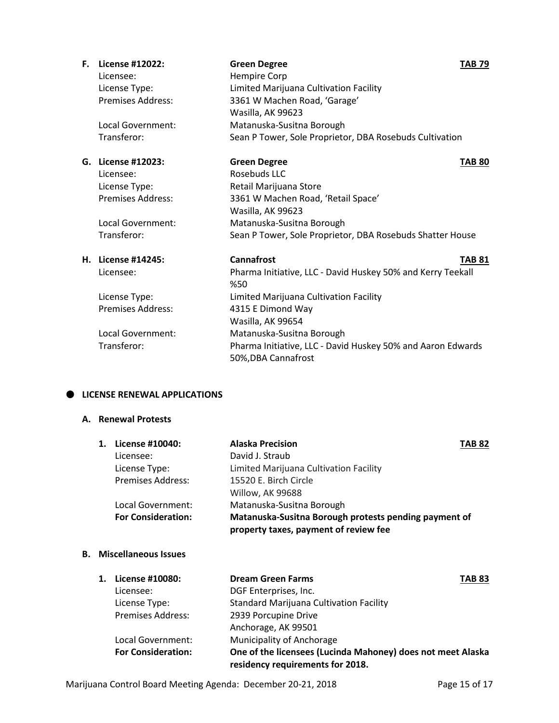| F. | License #12022:          | <b>Green Degree</b>                                                                | <b>TAB 79</b> |
|----|--------------------------|------------------------------------------------------------------------------------|---------------|
|    | Licensee:                | Hempire Corp                                                                       |               |
|    | License Type:            | Limited Marijuana Cultivation Facility                                             |               |
|    | <b>Premises Address:</b> | 3361 W Machen Road, 'Garage'                                                       |               |
|    |                          | Wasilla, AK 99623                                                                  |               |
|    | Local Government:        | Matanuska-Susitna Borough                                                          |               |
|    | Transferor:              | Sean P Tower, Sole Proprietor, DBA Rosebuds Cultivation                            |               |
|    | G. License #12023:       | <b>Green Degree</b>                                                                | <b>TAB 80</b> |
|    | Licensee:                | Rosebuds LLC                                                                       |               |
|    | License Type:            | Retail Marijuana Store                                                             |               |
|    | Premises Address:        | 3361 W Machen Road, 'Retail Space'                                                 |               |
|    |                          | Wasilla, AK 99623                                                                  |               |
|    | Local Government:        | Matanuska-Susitna Borough                                                          |               |
|    | Transferor:              | Sean P Tower, Sole Proprietor, DBA Rosebuds Shatter House                          |               |
|    | H. License #14245:       | Cannafrost                                                                         | <b>TAB 81</b> |
|    | Licensee:                | Pharma Initiative, LLC - David Huskey 50% and Kerry Teekall<br>%50                 |               |
|    | License Type:            | Limited Marijuana Cultivation Facility                                             |               |
|    | <b>Premises Address:</b> | 4315 E Dimond Way                                                                  |               |
|    |                          | Wasilla, AK 99654                                                                  |               |
|    | Local Government:        | Matanuska-Susitna Borough                                                          |               |
|    | Transferor:              | Pharma Initiative, LLC - David Huskey 50% and Aaron Edwards<br>50%, DBA Cannafrost |               |

#### $\bullet$  LICENSE RENEWAL APPLICATIONS

### **A. Renewal Protests**

| 1. | License #10040:           | <b>Alaska Precision</b>                               | <b>TAB 82</b> |
|----|---------------------------|-------------------------------------------------------|---------------|
|    | Licensee:                 | David J. Straub                                       |               |
|    | License Type:             | Limited Marijuana Cultivation Facility                |               |
|    | <b>Premises Address:</b>  | 15520 E. Birch Circle                                 |               |
|    |                           | Willow, AK 99688                                      |               |
|    | Local Government:         | Matanuska-Susitna Borough                             |               |
|    | <b>For Consideration:</b> | Matanuska-Susitna Borough protests pending payment of |               |
|    |                           | property taxes, payment of review fee                 |               |

## **B. Miscellaneous Issues**

| 1. | License #10080:           | <b>Dream Green Farms</b>                                                                        | <b>TAB 83</b> |
|----|---------------------------|-------------------------------------------------------------------------------------------------|---------------|
|    | Licensee:                 | DGF Enterprises, Inc.                                                                           |               |
|    | License Type:             | <b>Standard Marijuana Cultivation Facility</b>                                                  |               |
|    | <b>Premises Address:</b>  | 2939 Porcupine Drive                                                                            |               |
|    |                           | Anchorage, AK 99501                                                                             |               |
|    | Local Government:         | Municipality of Anchorage                                                                       |               |
|    | <b>For Consideration:</b> | One of the licensees (Lucinda Mahoney) does not meet Alaska<br>residency requirements for 2018. |               |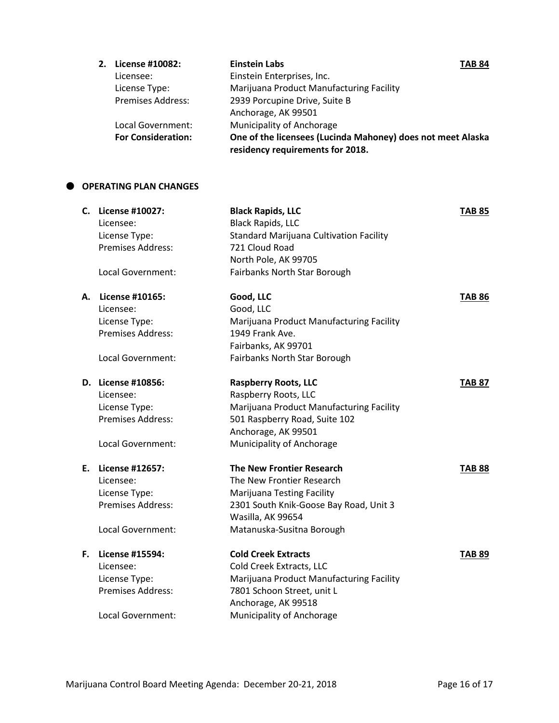| 2.                        | License #10082:          | <b>Einstein Labs</b>                                                                            | <b>TAB 84</b> |
|---------------------------|--------------------------|-------------------------------------------------------------------------------------------------|---------------|
|                           | Licensee:                | Einstein Enterprises, Inc.                                                                      |               |
|                           | License Type:            | Marijuana Product Manufacturing Facility                                                        |               |
|                           | <b>Premises Address:</b> | 2939 Porcupine Drive, Suite B                                                                   |               |
|                           |                          | Anchorage, AK 99501                                                                             |               |
|                           | Local Government:        | Municipality of Anchorage                                                                       |               |
| <b>For Consideration:</b> |                          | One of the licensees (Lucinda Mahoney) does not meet Alaska<br>residency requirements for 2018. |               |

### **OPERATING PLAN CHANGES**

|    | C. License #10027:       | <b>Black Rapids, LLC</b>                       | <b>TAB 85</b> |
|----|--------------------------|------------------------------------------------|---------------|
|    | Licensee:                | <b>Black Rapids, LLC</b>                       |               |
|    | License Type:            | <b>Standard Marijuana Cultivation Facility</b> |               |
|    | <b>Premises Address:</b> | 721 Cloud Road                                 |               |
|    |                          | North Pole, AK 99705                           |               |
|    | Local Government:        | Fairbanks North Star Borough                   |               |
| А. | License #10165:          | Good, LLC                                      | <b>TAB 86</b> |
|    | Licensee:                | Good, LLC                                      |               |
|    | License Type:            | Marijuana Product Manufacturing Facility       |               |
|    | Premises Address:        | 1949 Frank Ave.                                |               |
|    |                          | Fairbanks, AK 99701                            |               |
|    | Local Government:        | Fairbanks North Star Borough                   |               |
|    | D. License #10856:       | <b>Raspberry Roots, LLC</b>                    | <b>TAB 87</b> |
|    | Licensee:                | Raspberry Roots, LLC                           |               |
|    | License Type:            | Marijuana Product Manufacturing Facility       |               |
|    | <b>Premises Address:</b> | 501 Raspberry Road, Suite 102                  |               |
|    |                          | Anchorage, AK 99501                            |               |
|    | Local Government:        | Municipality of Anchorage                      |               |
|    | E. License #12657:       | <b>The New Frontier Research</b>               | <b>TAB 88</b> |
|    | Licensee:                | The New Frontier Research                      |               |
|    | License Type:            | Marijuana Testing Facility                     |               |
|    | Premises Address:        | 2301 South Knik-Goose Bay Road, Unit 3         |               |
|    |                          | Wasilla, AK 99654                              |               |
|    | Local Government:        | Matanuska-Susitna Borough                      |               |
| F. | License #15594:          | <b>Cold Creek Extracts</b>                     | <b>TAB 89</b> |
|    | Licensee:                | Cold Creek Extracts, LLC                       |               |
|    | License Type:            | Marijuana Product Manufacturing Facility       |               |
|    | Premises Address:        | 7801 Schoon Street, unit L                     |               |
|    |                          | Anchorage, AK 99518                            |               |
|    | Local Government:        | Municipality of Anchorage                      |               |
|    |                          |                                                |               |